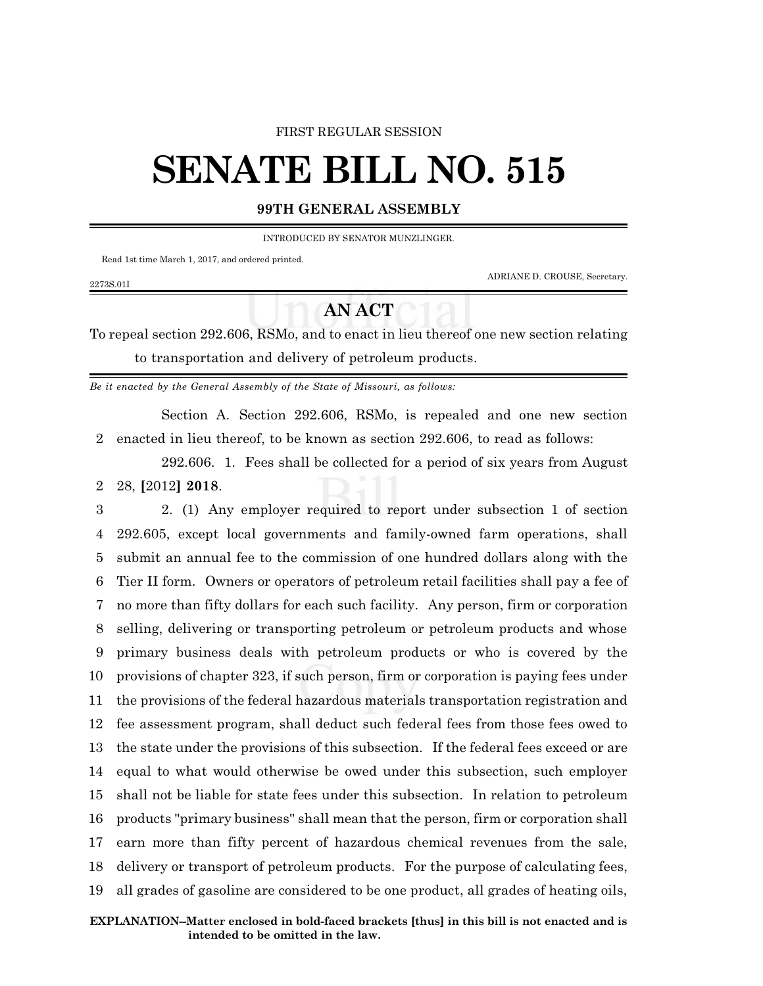#### FIRST REGULAR SESSION

# **SENATE BILL NO. 515**

### **99TH GENERAL ASSEMBLY**

INTRODUCED BY SENATOR MUNZLINGER.

Read 1st time March 1, 2017, and ordered printed.

ADRIANE D. CROUSE, Secretary.

#### 2273S.01I

## **AN ACT**

To repeal section 292.606, RSMo, and to enact in lieu thereof one new section relating to transportation and delivery of petroleum products.

*Be it enacted by the General Assembly of the State of Missouri, as follows:*

Section A. Section 292.606, RSMo, is repealed and one new section 2 enacted in lieu thereof, to be known as section 292.606, to read as follows:

292.606. 1. Fees shall be collected for a period of six years from August 2 28, **[**2012**] 2018**.

 2. (1) Any employer required to report under subsection 1 of section 292.605, except local governments and family-owned farm operations, shall submit an annual fee to the commission of one hundred dollars along with the Tier II form. Owners or operators of petroleum retail facilities shall pay a fee of no more than fifty dollars for each such facility. Any person, firm or corporation selling, delivering or transporting petroleum or petroleum products and whose primary business deals with petroleum products or who is covered by the provisions of chapter 323, if such person, firm or corporation is paying fees under the provisions of the federal hazardous materials transportation registration and fee assessment program, shall deduct such federal fees from those fees owed to the state under the provisions of this subsection. If the federal fees exceed or are equal to what would otherwise be owed under this subsection, such employer shall not be liable for state fees under this subsection. In relation to petroleum products "primary business" shall mean that the person, firm or corporation shall earn more than fifty percent of hazardous chemical revenues from the sale, delivery or transport of petroleum products. For the purpose of calculating fees, all grades of gasoline are considered to be one product, all grades of heating oils,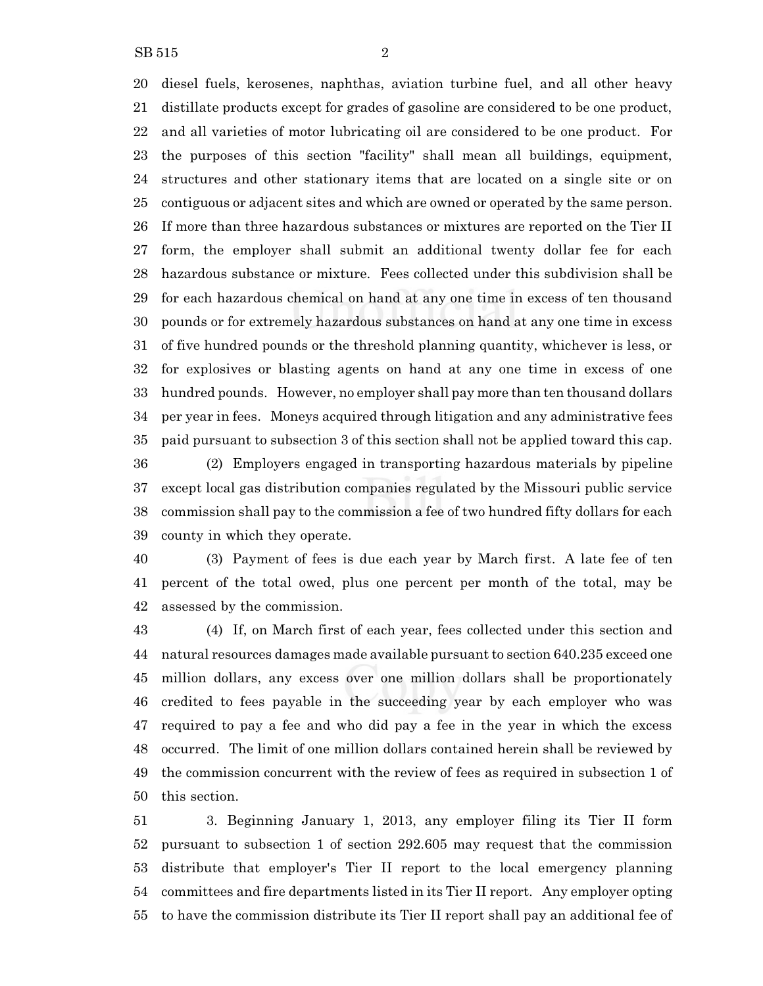diesel fuels, kerosenes, naphthas, aviation turbine fuel, and all other heavy distillate products except for grades of gasoline are considered to be one product, and all varieties of motor lubricating oil are considered to be one product. For the purposes of this section "facility" shall mean all buildings, equipment, structures and other stationary items that are located on a single site or on contiguous or adjacent sites and which are owned or operated by the same person. If more than three hazardous substances or mixtures are reported on the Tier II form, the employer shall submit an additional twenty dollar fee for each hazardous substance or mixture. Fees collected under this subdivision shall be for each hazardous chemical on hand at any one time in excess of ten thousand pounds or for extremely hazardous substances on hand at any one time in excess of five hundred pounds or the threshold planning quantity, whichever is less, or for explosives or blasting agents on hand at any one time in excess of one hundred pounds. However, no employer shall pay more than ten thousand dollars per year in fees. Moneys acquired through litigation and any administrative fees paid pursuant to subsection 3 of this section shall not be applied toward this cap.

 (2) Employers engaged in transporting hazardous materials by pipeline except local gas distribution companies regulated by the Missouri public service commission shall pay to the commission a fee of two hundred fifty dollars for each county in which they operate.

 (3) Payment of fees is due each year by March first. A late fee of ten percent of the total owed, plus one percent per month of the total, may be assessed by the commission.

 (4) If, on March first of each year, fees collected under this section and natural resources damages made available pursuant to section 640.235 exceed one million dollars, any excess over one million dollars shall be proportionately credited to fees payable in the succeeding year by each employer who was required to pay a fee and who did pay a fee in the year in which the excess occurred. The limit of one million dollars contained herein shall be reviewed by the commission concurrent with the review of fees as required in subsection 1 of this section.

 3. Beginning January 1, 2013, any employer filing its Tier II form pursuant to subsection 1 of section 292.605 may request that the commission distribute that employer's Tier II report to the local emergency planning committees and fire departments listed in its Tier II report. Any employer opting to have the commission distribute its Tier II report shall pay an additional fee of